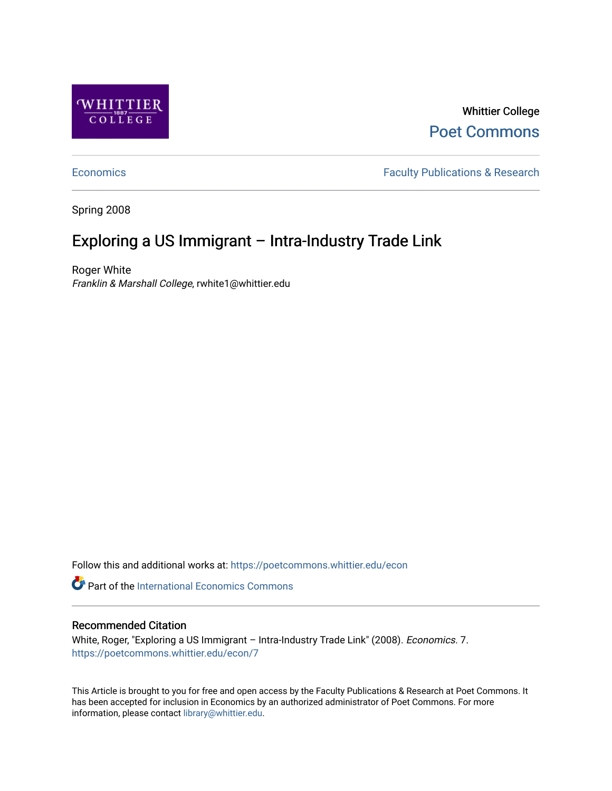

Whittier College [Poet Commons](https://poetcommons.whittier.edu/) 

[Economics](https://poetcommons.whittier.edu/econ) **Faculty Publications & Research** 

Spring 2008

# Exploring a US Immigrant – Intra-Industry Trade Link

Roger White Franklin & Marshall College, rwhite1@whittier.edu

Follow this and additional works at: [https://poetcommons.whittier.edu/econ](https://poetcommons.whittier.edu/econ?utm_source=poetcommons.whittier.edu%2Fecon%2F7&utm_medium=PDF&utm_campaign=PDFCoverPages)

**Part of the International Economics Commons** 

# Recommended Citation

White, Roger, "Exploring a US Immigrant - Intra-Industry Trade Link" (2008). Economics. 7. [https://poetcommons.whittier.edu/econ/7](https://poetcommons.whittier.edu/econ/7?utm_source=poetcommons.whittier.edu%2Fecon%2F7&utm_medium=PDF&utm_campaign=PDFCoverPages) 

This Article is brought to you for free and open access by the Faculty Publications & Research at Poet Commons. It has been accepted for inclusion in Economics by an authorized administrator of Poet Commons. For more information, please contact [library@whittier.edu.](mailto:library@whittier.edu)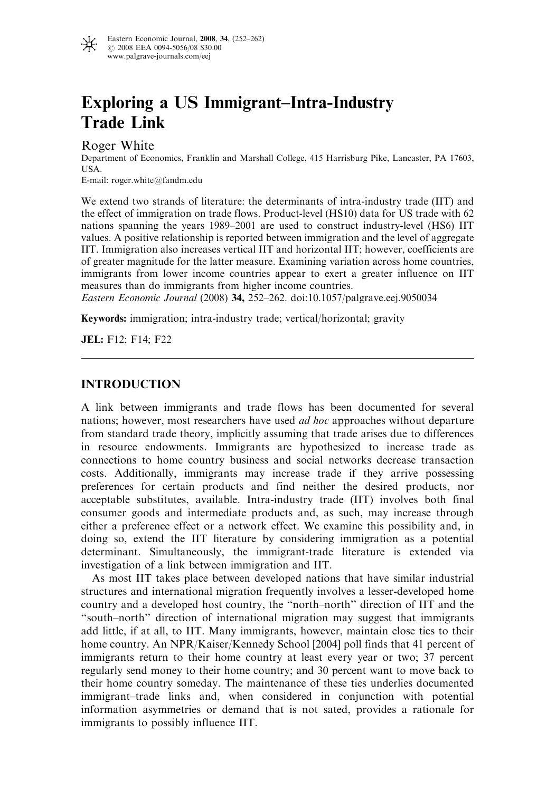

# Exploring a US Immigrant–Intra-Industry Trade Link

Roger White

Department of Economics, Franklin and Marshall College, 415 Harrisburg Pike, Lancaster, PA 17603, USA.

E-mail: roger.white@fandm.edu

We extend two strands of literature: the determinants of intra-industry trade (IIT) and the effect of immigration on trade flows. Product-level (HS10) data for US trade with 62 nations spanning the years 1989–2001 are used to construct industry-level (HS6) IIT values. A positive relationship is reported between immigration and the level of aggregate IIT. Immigration also increases vertical IIT and horizontal IIT; however, coefficients are of greater magnitude for the latter measure. Examining variation across home countries, immigrants from lower income countries appear to exert a greater influence on IIT measures than do immigrants from higher income countries.

Eastern Economic Journal (2008) 34, 252–262. doi:10.1057/palgrave.eej.9050034

Keywords: immigration; intra-industry trade; vertical/horizontal; gravity

JEL: F12; F14; F22

# INTRODUCTION

A link between immigrants and trade flows has been documented for several nations; however, most researchers have used ad hoc approaches without departure from standard trade theory, implicitly assuming that trade arises due to differences in resource endowments. Immigrants are hypothesized to increase trade as connections to home country business and social networks decrease transaction costs. Additionally, immigrants may increase trade if they arrive possessing preferences for certain products and find neither the desired products, nor acceptable substitutes, available. Intra-industry trade (IIT) involves both final consumer goods and intermediate products and, as such, may increase through either a preference effect or a network effect. We examine this possibility and, in doing so, extend the IIT literature by considering immigration as a potential determinant. Simultaneously, the immigrant-trade literature is extended via investigation of a link between immigration and IIT.

As most IIT takes place between developed nations that have similar industrial structures and international migration frequently involves a lesser-developed home country and a developed host country, the ''north–north'' direction of IIT and the ''south–north'' direction of international migration may suggest that immigrants add little, if at all, to IIT. Many immigrants, however, maintain close ties to their home country. An NPR/Kaiser/Kennedy School [2004] poll finds that 41 percent of immigrants return to their home country at least every year or two; 37 percent regularly send money to their home country; and 30 percent want to move back to their home country someday. The maintenance of these ties underlies documented immigrant–trade links and, when considered in conjunction with potential information asymmetries or demand that is not sated, provides a rationale for immigrants to possibly influence IIT.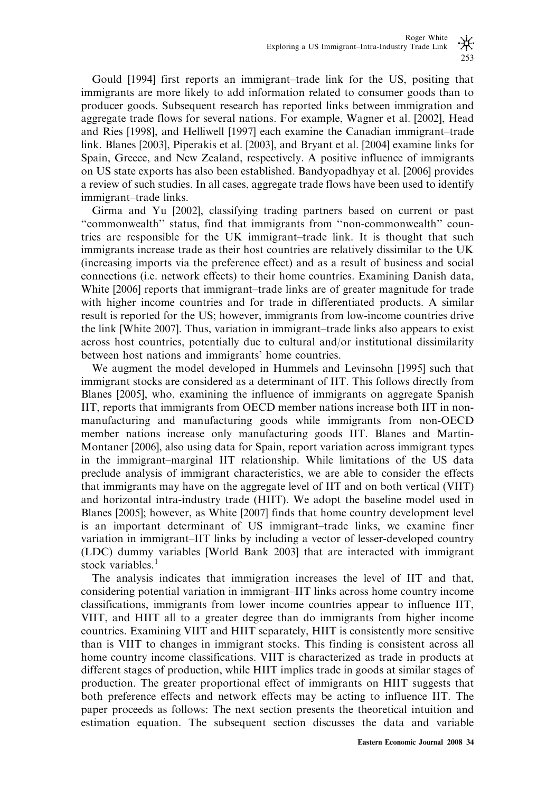Gould [1994] first reports an immigrant–trade link for the US, positing that immigrants are more likely to add information related to consumer goods than to producer goods. Subsequent research has reported links between immigration and aggregate trade flows for several nations. For example, Wagner et al. [2002], Head and Ries [1998], and Helliwell [1997] each examine the Canadian immigrant–trade link. Blanes [2003], Piperakis et al. [2003], and Bryant et al. [2004] examine links for Spain, Greece, and New Zealand, respectively. A positive influence of immigrants on US state exports has also been established. Bandyopadhyay et al. [2006] provides a review of such studies. In all cases, aggregate trade flows have been used to identify immigrant–trade links.

Girma and Yu [2002], classifying trading partners based on current or past ''commonwealth'' status, find that immigrants from ''non-commonwealth'' countries are responsible for the UK immigrant–trade link. It is thought that such immigrants increase trade as their host countries are relatively dissimilar to the UK (increasing imports via the preference effect) and as a result of business and social connections (i.e. network effects) to their home countries. Examining Danish data, White [2006] reports that immigrant–trade links are of greater magnitude for trade with higher income countries and for trade in differentiated products. A similar result is reported for the US; however, immigrants from low-income countries drive the link [White 2007]. Thus, variation in immigrant–trade links also appears to exist across host countries, potentially due to cultural and/or institutional dissimilarity between host nations and immigrants' home countries.

We augment the model developed in Hummels and Levinsohn [1995] such that immigrant stocks are considered as a determinant of IIT. This follows directly from Blanes [2005], who, examining the influence of immigrants on aggregate Spanish IIT, reports that immigrants from OECD member nations increase both IIT in nonmanufacturing and manufacturing goods while immigrants from non-OECD member nations increase only manufacturing goods IIT. Blanes and Martin-Montaner [2006], also using data for Spain, report variation across immigrant types in the immigrant–marginal IIT relationship. While limitations of the US data preclude analysis of immigrant characteristics, we are able to consider the effects that immigrants may have on the aggregate level of IIT and on both vertical (VIIT) and horizontal intra-industry trade (HIIT). We adopt the baseline model used in Blanes [2005]; however, as White [2007] finds that home country development level is an important determinant of US immigrant–trade links, we examine finer variation in immigrant–IIT links by including a vector of lesser-developed country (LDC) dummy variables [World Bank 2003] that are interacted with immigrant stock variables.<sup>1</sup>

The analysis indicates that immigration increases the level of IIT and that, considering potential variation in immigrant–IIT links across home country income classifications, immigrants from lower income countries appear to influence IIT, VIIT, and HIIT all to a greater degree than do immigrants from higher income countries. Examining VIIT and HIIT separately, HIIT is consistently more sensitive than is VIIT to changes in immigrant stocks. This finding is consistent across all home country income classifications. VIIT is characterized as trade in products at different stages of production, while HIIT implies trade in goods at similar stages of production. The greater proportional effect of immigrants on HIIT suggests that both preference effects and network effects may be acting to influence IIT. The paper proceeds as follows: The next section presents the theoretical intuition and estimation equation. The subsequent section discusses the data and variable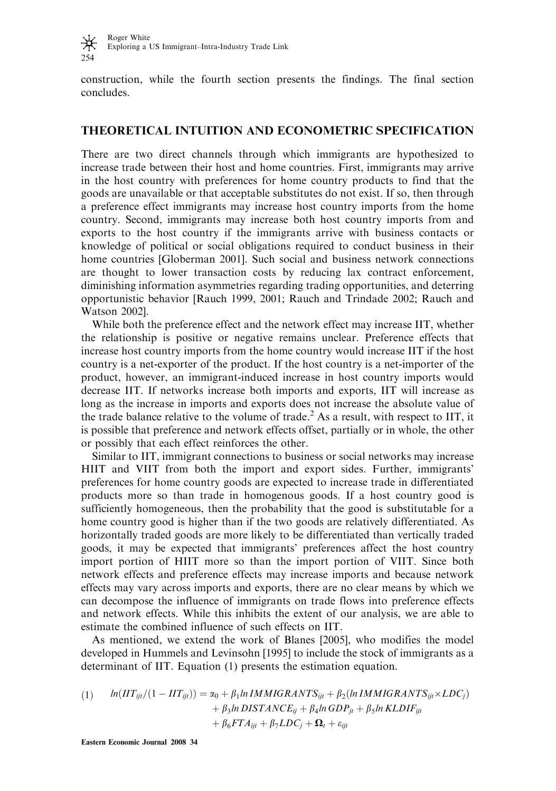

construction, while the fourth section presents the findings. The final section concludes.

# THEORETICAL INTUITION AND ECONOMETRIC SPECIFICATION

There are two direct channels through which immigrants are hypothesized to increase trade between their host and home countries. First, immigrants may arrive in the host country with preferences for home country products to find that the goods are unavailable or that acceptable substitutes do not exist. If so, then through a preference effect immigrants may increase host country imports from the home country. Second, immigrants may increase both host country imports from and exports to the host country if the immigrants arrive with business contacts or knowledge of political or social obligations required to conduct business in their home countries [Globerman 2001]. Such social and business network connections are thought to lower transaction costs by reducing lax contract enforcement, diminishing information asymmetries regarding trading opportunities, and deterring opportunistic behavior [Rauch 1999, 2001; Rauch and Trindade 2002; Rauch and Watson 2002].

While both the preference effect and the network effect may increase IIT, whether the relationship is positive or negative remains unclear. Preference effects that increase host country imports from the home country would increase IIT if the host country is a net-exporter of the product. If the host country is a net-importer of the product, however, an immigrant-induced increase in host country imports would decrease IIT. If networks increase both imports and exports, IIT will increase as long as the increase in imports and exports does not increase the absolute value of the trade balance relative to the volume of trade.<sup>2</sup> As a result, with respect to IIT, it is possible that preference and network effects offset, partially or in whole, the other or possibly that each effect reinforces the other.

Similar to IIT, immigrant connections to business or social networks may increase HIIT and VIIT from both the import and export sides. Further, immigrants' preferences for home country goods are expected to increase trade in differentiated products more so than trade in homogenous goods. If a host country good is sufficiently homogeneous, then the probability that the good is substitutable for a home country good is higher than if the two goods are relatively differentiated. As horizontally traded goods are more likely to be differentiated than vertically traded goods, it may be expected that immigrants' preferences affect the host country import portion of HIIT more so than the import portion of VIIT. Since both network effects and preference effects may increase imports and because network effects may vary across imports and exports, there are no clear means by which we can decompose the influence of immigrants on trade flows into preference effects and network effects. While this inhibits the extent of our analysis, we are able to estimate the combined influence of such effects on IIT.

As mentioned, we extend the work of Blanes [2005], who modifies the model developed in Hummels and Levinsohn [1995] to include the stock of immigrants as a determinant of IIT. Equation (1) presents the estimation equation.

(1) 
$$
ln(HT_{ijt}/(1 - HT_{ijt})) = \alpha_0 + \beta_1 ln \text{ IMMIGRANTS}_{ijt} + \beta_2 (ln \text{IMMIGRANTS}_{ijt} \times LDC_j) + \beta_3 ln \text{DISTANCE}_{ij} + \beta_4 ln \text{ GDP}_{jt} + \beta_5 ln \text{KLDIF}_{ijt} + \beta_6 FTA_{ijt} + \beta_7 LDC_j + \Omega_t + \varepsilon_{ijt}
$$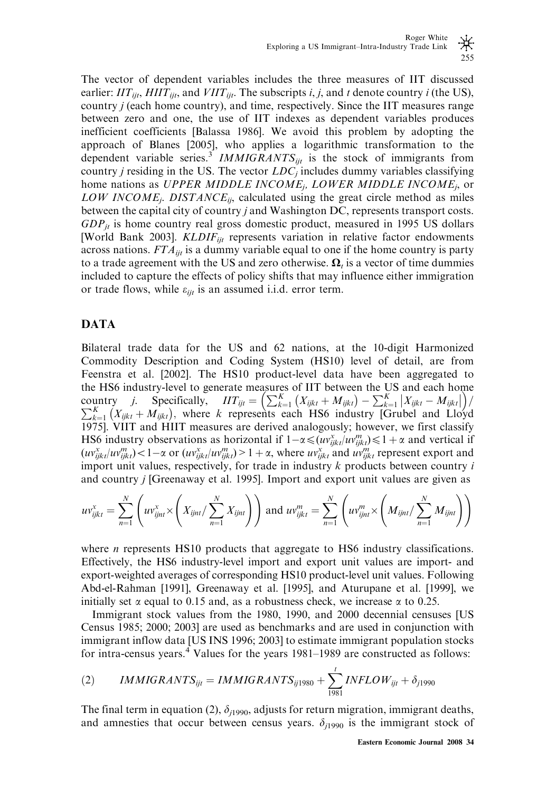The vector of dependent variables includes the three measures of IIT discussed earlier:  $\overline{IIT}_{ijt}$ ,  $\overline{HIT}_{ijt}$ , and  $\overline{VIT}_{ijt}$ . The subscripts i, j, and t denote country i (the US), country j (each home country), and time, respectively. Since the IIT measures range between zero and one, the use of IIT indexes as dependent variables produces inefficient coefficients [Balassa 1986]. We avoid this problem by adopting the approach of Blanes [2005], who applies a logarithmic transformation to the dependent variable series.<sup>3</sup> IMMIGRANTS<sub>ijt</sub> is the stock of immigrants from country *j* residing in the US. The vector  $LDC<sub>j</sub>$  includes dummy variables classifying home nations as UPPER MIDDLE INCOME<sub>j</sub>, LOWER MIDDLE INCOME<sub>j</sub>, or LOW INCOME<sub>i</sub>. DISTANCE<sub>ij</sub>, calculated using the great circle method as miles between the capital city of country j and Washington DC, represents transport costs.  $GDP_{it}$  is home country real gross domestic product, measured in 1995 US dollars [World Bank 2003].  $KLDIF_{ijt}$  represents variation in relative factor endowments across nations.  $FTA_{ijt}$  is a dummy variable equal to one if the home country is party to a trade agreement with the US and zero otherwise.  $\Omega_t$  is a vector of time dummies included to capture the effects of policy shifts that may influence either immigration or trade flows, while  $\varepsilon_{ijt}$  is an assumed i.i.d. error term.

# DATA

Bilateral trade data for the US and 62 nations, at the 10-digit Harmonized Commodity Description and Coding System (HS10) level of detail, are from Feenstra et al. [2002]. The HS10 product-level data have been aggregated to the HS6 industry-level to generate measures of IIT between the US and each home the HS6 industry-level to generate measures of ITT between the US and each home<br>country *j.* Specifically,  $IIT_{ijt} = \left(\sum_{k=1}^{K} (X_{ijkt} + M_{ijkt}) - \sum_{k=1}^{K} |X_{ijkt} - M_{ijkt}| \right) / \sum_{k=1}^{K} (X_{ijkt} + M_{ijkt})$ , where k represents each HS6 in 1975]. VIIT and HIIT measures are derived analogously; however, we first classify HS6 industry observations as horizontal if  $1-\alpha \leq (uv_{ijkl}^x / uv_{ijkl}^m) \leq 1+\alpha$  and vertical if  $(uv_{ijkt}^x/w_{ijkt}^m) < 1-\alpha$  or  $(uv_{ijkt}^x/w_{ijkt}^m) > 1+\alpha$ , where  $uv_{ijkt}^x$  and  $uv_{ijkt}^m$  represent export and import unit values, respectively, for trade in industry  $k$  products between country  $i$ and country j [Greenaway et al. 1995]. Import and export unit values are given as

$$
uv_{ijkl}^x = \sum_{n=1}^N \left( uv_{ijnt}^x \times \left( X_{ijnt} / \sum_{n=1}^N X_{ijnt} \right) \right) \text{ and } uv_{ijkl}^m = \sum_{n=1}^N \left( uv_{ijnt}^m \times \left( M_{ijnt} / \sum_{n=1}^N M_{ijnt} \right) \right)
$$

where  $n$  represents HS10 products that aggregate to HS6 industry classifications. Effectively, the HS6 industry-level import and export unit values are import- and export-weighted averages of corresponding HS10 product-level unit values. Following Abd-el-Rahman [1991], Greenaway et al. [1995], and Aturupane et al. [1999], we initially set  $\alpha$  equal to 0.15 and, as a robustness check, we increase  $\alpha$  to 0.25.

Immigrant stock values from the 1980, 1990, and 2000 decennial censuses [US Census 1985; 2000; 2003] are used as benchmarks and are used in conjunction with immigrant inflow data [US INS 1996; 2003] to estimate immigrant population stocks for intra-census years. $4$  Values for the years 1981–1989 are constructed as follows:

$$
(2) \qquad IMMIGRANTS_{ijt} = IMMIGRANTS_{ij1980} + \sum_{1981}^{t} INFLOW_{ijt} + \delta_{j1990}
$$

The final term in equation (2),  $\delta_{i1990}$ , adjusts for return migration, immigrant deaths, and amnesties that occur between census years.  $\delta_{i1990}$  is the immigrant stock of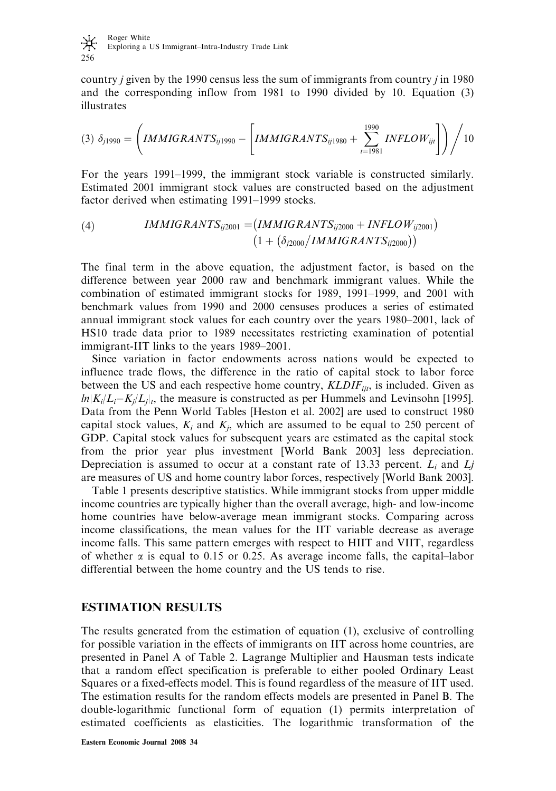

country *j* given by the 1990 census less the sum of immigrants from country *j* in 1980 and the corresponding inflow from 1981 to 1990 divided by 10. Equation (3) illustrates

$$
(3) \delta_{j1990} = \left(IMMIGRANTS_{ij1990} - \left[IMMIGRANTS_{ij1980} + \sum_{t=1981}^{1990} INFLOW_{ijt} \right] \right) / 10
$$

For the years 1991–1999, the immigrant stock variable is constructed similarly. Estimated 2001 immigrant stock values are constructed based on the adjustment factor derived when estimating 1991–1999 stocks.

(4) 
$$
IMMIGRANTS_{ij2001} = (IMMIGRANTS_{ij2000} + INFLOW_{ij2001})
$$

$$
(1 + (\delta_{j2000}/IMMIGRANTS_{ij2000}))
$$

The final term in the above equation, the adjustment factor, is based on the difference between year 2000 raw and benchmark immigrant values. While the combination of estimated immigrant stocks for 1989, 1991–1999, and 2001 with benchmark values from 1990 and 2000 censuses produces a series of estimated annual immigrant stock values for each country over the years 1980–2001, lack of HS10 trade data prior to 1989 necessitates restricting examination of potential immigrant-IIT links to the years 1989–2001.

Since variation in factor endowments across nations would be expected to influence trade flows, the difference in the ratio of capital stock to labor force between the US and each respective home country,  $KLDIF_{ijt}$ , is included. Given as  $ln|K_i/L_i-K_j/L_j|$ , the measure is constructed as per Hummels and Levinsohn [1995]. Data from the Penn World Tables [Heston et al. 2002] are used to construct 1980 capital stock values,  $K_i$  and  $K_j$ , which are assumed to be equal to 250 percent of GDP. Capital stock values for subsequent years are estimated as the capital stock from the prior year plus investment [World Bank 2003] less depreciation. Depreciation is assumed to occur at a constant rate of 13.33 percent.  $L_i$  and  $L_j$ are measures of US and home country labor forces, respectively [World Bank 2003].

Table 1 presents descriptive statistics. While immigrant stocks from upper middle income countries are typically higher than the overall average, high- and low-income home countries have below-average mean immigrant stocks. Comparing across income classifications, the mean values for the IIT variable decrease as average income falls. This same pattern emerges with respect to HIIT and VIIT, regardless of whether  $\alpha$  is equal to 0.15 or 0.25. As average income falls, the capital–labor differential between the home country and the US tends to rise.

# ESTIMATION RESULTS

The results generated from the estimation of equation (1), exclusive of controlling for possible variation in the effects of immigrants on IIT across home countries, are presented in Panel A of Table 2. Lagrange Multiplier and Hausman tests indicate that a random effect specification is preferable to either pooled Ordinary Least Squares or a fixed-effects model. This is found regardless of the measure of IIT used. The estimation results for the random effects models are presented in Panel B. The double-logarithmic functional form of equation (1) permits interpretation of estimated coefficients as elasticities. The logarithmic transformation of the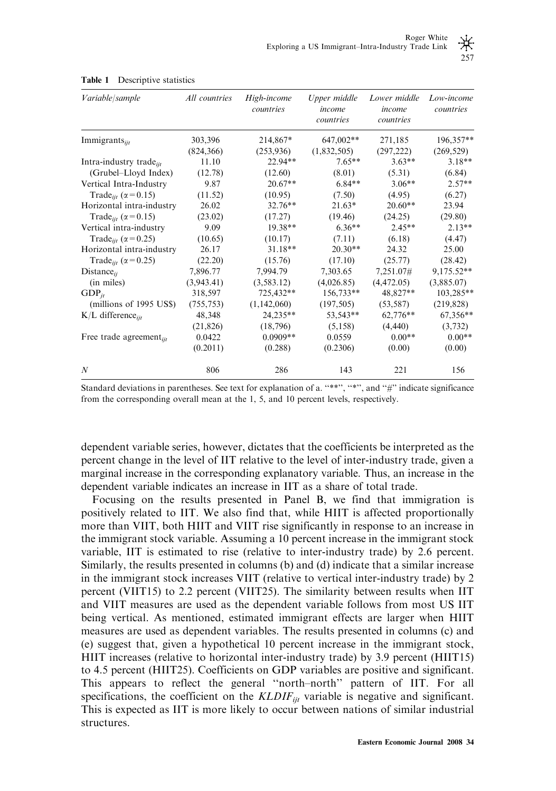| Variable/sample                         | All countries | High-income<br>countries | Upper middle<br>income<br>countries | Lower middle<br>income<br>countries | Low-income<br>countries |  |
|-----------------------------------------|---------------|--------------------------|-------------------------------------|-------------------------------------|-------------------------|--|
| Immigrants <sub>iit</sub>               | 303,396       | 214,867*                 | 647,002**                           | 271,185                             | 196,357**               |  |
|                                         | (824, 366)    | (253,936)                | (1,832,505)                         | (297, 222)                          | (269, 529)              |  |
| Intra-industry trade <sub>ijt</sub>     | 11.10         | 22.94**                  | $7.65**$                            | $3.63**$                            | $3.18**$                |  |
| (Grubel-Lloyd Index)                    | (12.78)       | (12.60)                  | (8.01)                              | (5.31)                              | (6.84)                  |  |
| Vertical Intra-Industry                 | 9.87          | $20.67**$                | $6.84**$                            | $3.06**$                            | $2.57**$                |  |
| Trade <sub>iit</sub> ( $\alpha$ = 0.15) | (11.52)       | (10.95)                  | (7.50)                              | (4.95)                              | (6.27)                  |  |
| Horizontal intra-industry               | 26.02         | $32.76**$                | $21.63*$                            | $20.60**$                           | 23.94                   |  |
| Trade <sub>iit</sub> ( $\alpha$ = 0.15) | (23.02)       | (17.27)                  | (19.46)                             | (24.25)                             | (29.80)                 |  |
| Vertical intra-industry                 | 9.09          | $19.38**$                | $6.36**$                            | $2.45**$                            | $2.13**$                |  |
| Trade <sub>iit</sub> ( $\alpha$ = 0.25) | (10.65)       | (10.17)                  | (7.11)                              | (6.18)                              | (4.47)                  |  |
| Horizontal intra-industry               | 26.17         | $31.18**$                | $20.30**$                           | 24.32                               | 25.00                   |  |
| Trade <sub>iit</sub> ( $\alpha$ = 0.25) | (22.20)       | (15.76)                  | (17.10)                             | (25.77)                             | (28.42)                 |  |
| $Distance_{ii}$                         | 7,896.77      | 7,994.79                 | 7,303.65                            | 7,251.07#                           | 9,175.52**              |  |
| (in miles)                              | (3.943.41)    | (3, 583.12)              | (4,026.85)                          | (4,472.05)                          | (3,885.07)              |  |
| $GDP_{it}$                              | 318,597       | 725,432**                | 156,733**                           | 48,827**                            | 103,285**               |  |
| (millions of 1995 US\$)                 | (755, 753)    | (1,142,060)              | (197, 505)                          | (53, 587)                           | (219, 828)              |  |
| $K/L$ difference <sub>iit</sub>         | 48,348        | 24,235**                 | 53,543**                            | 62,776**                            | 67,356**                |  |
|                                         | (21, 826)     | (18, 796)                | (5,158)                             | (4, 440)                            | (3,732)                 |  |
| Free trade agreement $_{ii}$            | 0.0422        | $0.0909**$               | 0.0559                              | $0.00**$                            | $0.00**$                |  |
|                                         | (0.2011)      | (0.288)                  | (0.2306)                            | (0.00)                              | (0.00)                  |  |
| N                                       | 806           | 286                      | 143                                 | 221                                 | 156                     |  |

#### Table 1 Descriptive statistics

Standard deviations in parentheses. See text for explanation of a. "\*\*", "\*", and "#" indicate significance from the corresponding overall mean at the 1, 5, and 10 percent levels, respectively.

dependent variable series, however, dictates that the coefficients be interpreted as the percent change in the level of IIT relative to the level of inter-industry trade, given a marginal increase in the corresponding explanatory variable. Thus, an increase in the dependent variable indicates an increase in IIT as a share of total trade.

Focusing on the results presented in Panel B, we find that immigration is positively related to IIT. We also find that, while HIIT is affected proportionally more than VIIT, both HIIT and VIIT rise significantly in response to an increase in the immigrant stock variable. Assuming a 10 percent increase in the immigrant stock variable, IIT is estimated to rise (relative to inter-industry trade) by 2.6 percent. Similarly, the results presented in columns (b) and (d) indicate that a similar increase in the immigrant stock increases VIIT (relative to vertical inter-industry trade) by 2 percent (VIIT15) to 2.2 percent (VIIT25). The similarity between results when IIT and VIIT measures are used as the dependent variable follows from most US IIT being vertical. As mentioned, estimated immigrant effects are larger when HIIT measures are used as dependent variables. The results presented in columns (c) and (e) suggest that, given a hypothetical 10 percent increase in the immigrant stock, HIIT increases (relative to horizontal inter-industry trade) by 3.9 percent (HIIT15) to 4.5 percent (HIIT25). Coefficients on GDP variables are positive and significant. This appears to reflect the general ''north–north'' pattern of IIT. For all specifications, the coefficient on the  $KLDIF_{ii}$  variable is negative and significant. This is expected as IIT is more likely to occur between nations of similar industrial structures.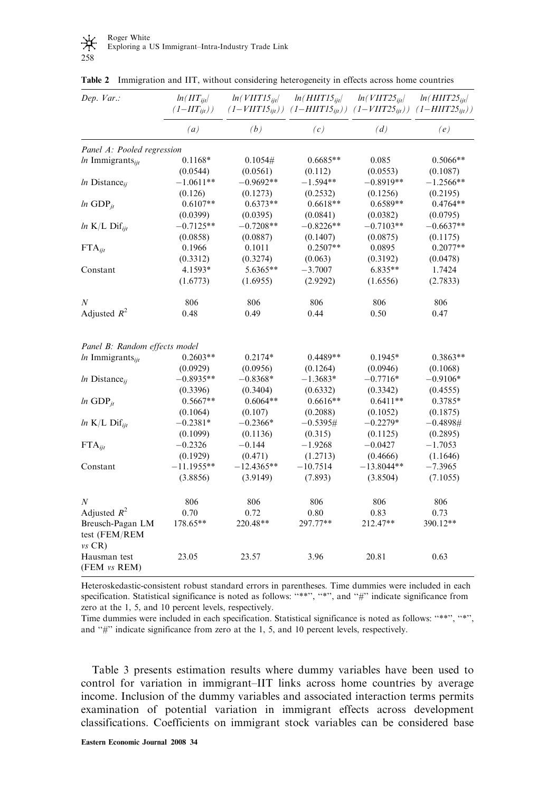| Dep. $Var$ .:                                 | $ln(III_{ii}/$<br>$(1-HT_{\rm{iii}}))$ | $ln(V\Pi T15_{ii}$ | $ln(H\Pi T15_{ijt}$<br>$(1-VITT15_{ii1}))$ $(1-HITT15_{ii1}))$ $(1-VITT25_{ii1}))$ $(1-HITT25_{ii1}))$ | $ln(VIIT25_{ijt})$ | $ln(HIIT25_{\text{iii}})$ |  |
|-----------------------------------------------|----------------------------------------|--------------------|--------------------------------------------------------------------------------------------------------|--------------------|---------------------------|--|
|                                               | (a)                                    | (b)                | (c)                                                                                                    | (d)                | (e)                       |  |
| Panel A: Pooled regression                    |                                        |                    |                                                                                                        |                    |                           |  |
| $ln$ Immigrants $_{ii}$                       | $0.1168*$                              | 0.1054#            | $0.6685**$                                                                                             | 0.085              | $0.5066**$                |  |
|                                               | (0.0544)                               | (0.0561)           | (0.112)                                                                                                | (0.0553)           | (0.1087)                  |  |
| $ln$ Distance <sub>ii</sub>                   | $-1.0611**$                            | $-0.9692**$        | $-1.594**$                                                                                             | $-0.8919**$        | $-1.2566**$               |  |
|                                               | (0.126)                                | (0.1273)           | (0.2532)                                                                                               | (0.1256)           | (0.2195)                  |  |
| $ln$ GDP $_{it}$                              | $0.6107**$                             | $0.6373**$         | $0.6618**$                                                                                             | $0.6589**$         | $0.4764**$                |  |
|                                               | (0.0399)                               | (0.0395)           | (0.0841)                                                                                               | (0.0382)           | (0.0795)                  |  |
| $ln K/L$ Dif $_{ijt}$                         | $-0.7125**$                            | $-0.7208**$        | $-0.8226**$                                                                                            | $-0.7103**$        | $-0.6637**$               |  |
|                                               | (0.0858)                               | (0.0887)           | (0.1407)                                                                                               | (0.0875)           | (0.1175)                  |  |
| $FTA_{ii}$                                    | 0.1966                                 | 0.1011             | $0.2507**$                                                                                             | 0.0895             | $0.2077**$                |  |
|                                               | (0.3312)                               | (0.3274)           | (0.063)                                                                                                | (0.3192)           | (0.0478)                  |  |
| Constant                                      | 4.1593*                                | 5.6365**           | $-3.7007$                                                                                              | $6.835**$          | 1.7424                    |  |
|                                               | (1.6773)                               | (1.6955)           | (2.9292)                                                                                               | (1.6556)           | (2.7833)                  |  |
| $\boldsymbol{N}$                              | 806                                    | 806                | 806                                                                                                    | 806                | 806                       |  |
| Adjusted $R^2$                                | 0.48                                   | 0.49               | 0.44                                                                                                   | 0.50               | 0.47                      |  |
| Panel B: Random effects model                 |                                        |                    |                                                                                                        |                    |                           |  |
| $ln$ Immigrants $_{ii}$                       | $0.2603**$                             | $0.2174*$          | $0.4489**$                                                                                             | $0.1945*$          | $0.3863**$                |  |
|                                               | (0.0929)                               | (0.0956)           | (0.1264)                                                                                               | (0.0946)           | (0.1068)                  |  |
| $ln$ Distance <sub>ii</sub>                   | $-0.8935**$                            | $-0.8368*$         | $-1.3683*$                                                                                             | $-0.7716*$         | $-0.9106*$                |  |
|                                               | (0.3396)                               | (0.3404)           | (0.6332)                                                                                               | (0.3342)           | (0.4555)                  |  |
| $ln$ GDP $_{it}$                              | $0.5667**$                             | $0.6064**$         | $0.6616**$                                                                                             | $0.6411**$         | 0.3785*                   |  |
|                                               | (0.1064)                               | (0.107)            | (0.2088)                                                                                               | (0.1052)           | (0.1875)                  |  |
| $ln K/L$ Dif $_{ii}$                          | $-0.2381*$                             | $-0.2366*$         | $-0.5395#$                                                                                             | $-0.2279*$         | $-0.4898#$                |  |
|                                               | (0.1099)                               | (0.1136)           | (0.315)                                                                                                | (0.1125)           | (0.2895)                  |  |
| $FTA_{ii}$                                    | $-0.2326$                              | $-0.144$           | $-1.9268$                                                                                              | $-0.0427$          | $-1.7053$                 |  |
|                                               | (0.1929)                               | (0.471)            | (1.2713)                                                                                               | (0.4666)           | (1.1646)                  |  |
| Constant                                      | $-11.1955**$                           | $-12.4365**$       | $-10.7514$                                                                                             | $-13.8044**$       | $-7.3965$                 |  |
|                                               | (3.8856)                               | (3.9149)           | (7.893)                                                                                                | (3.8504)           | (7.1055)                  |  |
| $\boldsymbol{N}$                              | 806                                    | 806                | 806                                                                                                    | 806                | 806                       |  |
| Adjusted $R^2$                                | 0.70                                   | 0.72               | 0.80                                                                                                   | 0.83               | 0.73                      |  |
| Breusch-Pagan LM<br>test (FEM/REM<br>$vs$ CR) | 178.65**                               | 220.48**           | 297.77**                                                                                               | 212.47**           | 390.12**                  |  |
| Hausman test<br>(FEM vs REM)                  | 23.05                                  | 23.57              | 3.96                                                                                                   | 20.81              | 0.63                      |  |

Table 2 Immigration and IIT, without considering heterogeneity in effects across home countries

Heteroskedastic-consistent robust standard errors in parentheses. Time dummies were included in each specification. Statistical significance is noted as follows: "\*\*", "\*", and "#" indicate significance from zero at the 1, 5, and 10 percent levels, respectively.

Time dummies were included in each specification. Statistical significance is noted as follows: ''\*\*'', ''\*'', and "#" indicate significance from zero at the 1, 5, and 10 percent levels, respectively.

Table 3 presents estimation results where dummy variables have been used to control for variation in immigrant–IIT links across home countries by average income. Inclusion of the dummy variables and associated interaction terms permits examination of potential variation in immigrant effects across development classifications. Coefficients on immigrant stock variables can be considered base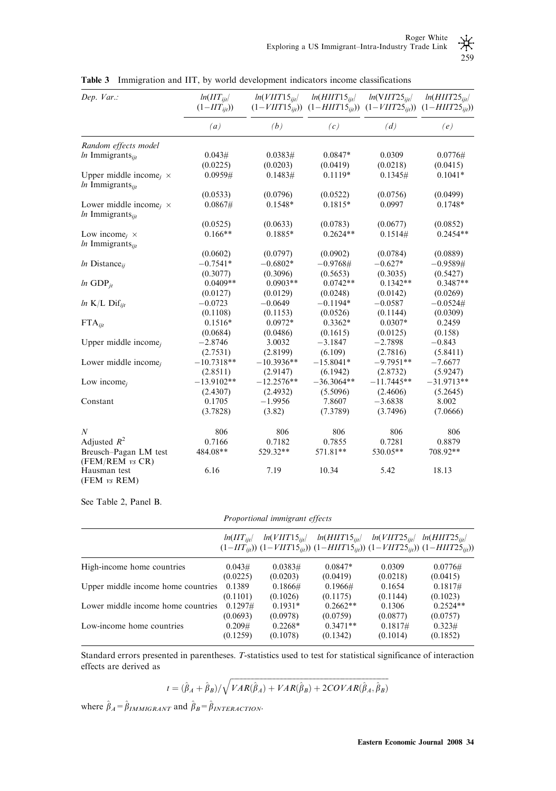| Dep. Var.:                                                                  | $ln(HT_{ii}/$<br>$(1-HT_{ii})$ | $ln(VIIT15_{iit})$ | $ln(HIIT15_{\it{ii1}})$<br>$(1-V\Pi T15_{ii}))$ $(1-H\Pi T15_{ii}))$ $(1-V\Pi T25_{ii}))$ $(1-H\Pi T25_{ii}))$ | $ln(VIIT25_{iit})$ | $ln(HIIT25_{\text{iii}})$ |
|-----------------------------------------------------------------------------|--------------------------------|--------------------|----------------------------------------------------------------------------------------------------------------|--------------------|---------------------------|
|                                                                             | (a)                            | (b)                | (c)                                                                                                            | (d)                | (e)                       |
| Random effects model                                                        |                                |                    |                                                                                                                |                    |                           |
| $ln$ Immigrants <sub>iit</sub>                                              | 0.043#                         | 0.0383#            | $0.0847*$                                                                                                      | 0.0309             | 0.0776#                   |
|                                                                             | (0.0225)                       | (0.0203)           | (0.0419)                                                                                                       | (0.0218)           | (0.0415)                  |
| Upper middle income <sub>i</sub> $\times$<br>$ln$ Immigrants <sub>iit</sub> | 0.0959#                        | 0.1483#            | $0.1119*$                                                                                                      | 0.1345#            | $0.1041*$                 |
|                                                                             | (0.0533)                       | (0.0796)           | (0.0522)                                                                                                       | (0.0756)           | (0.0499)                  |
| Lower middle income <sub>i</sub> $\times$<br>$ln$ Immigrants $_{ii}$        | 0.0867#                        | $0.1548*$          | $0.1815*$                                                                                                      | 0.0997             | $0.1748*$                 |
|                                                                             | (0.0525)                       | (0.0633)           | (0.0783)                                                                                                       | (0.0677)           | (0.0852)                  |
| Low income <sub>i</sub> $\times$<br>$ln$ Immigrants $_{iit}$                | $0.166**$                      | $0.1885*$          | $0.2624**$                                                                                                     | 0.1514#            | $0.2454**$                |
|                                                                             | (0.0602)                       | (0.0797)           | (0.0902)                                                                                                       | (0.0784)           | (0.0889)                  |
| <i>ln</i> Distance <sub>ii</sub>                                            | $-0.7541*$                     | $-0.6802*$         | $-0.9768#$                                                                                                     | $-0.627*$          | $-0.9589#$                |
|                                                                             | (0.3077)                       | (0.3096)           | (0.5653)                                                                                                       | (0.3035)           | (0.5427)                  |
| $ln$ GDP <sub>it</sub>                                                      | $0.0409**$                     | $0.0903**$         | $0.0742**$                                                                                                     | $0.1342**$         | $0.3487**$                |
|                                                                             | (0.0127)                       | (0.0129)           | (0.0248)                                                                                                       | (0.0142)           | (0.0269)                  |
| $ln K/L$ Dif $_{ii}$                                                        | $-0.0723$                      | $-0.0649$          | $-0.1194*$                                                                                                     | $-0.0587$          | $-0.0524\#$               |
|                                                                             | (0.1108)                       | (0.1153)           | (0.0526)                                                                                                       | (0.1144)           | (0.0309)                  |
| $FTA_{\mathit{iit}}$                                                        | $0.1516*$                      | $0.0972*$          | $0.3362*$                                                                                                      | $0.0307*$          | 0.2459                    |
|                                                                             | (0.0684)                       | (0.0486)           | (0.1615)                                                                                                       | (0.0125)           | (0.158)                   |
| Upper middle income <sub>i</sub>                                            | $-2.8746$                      | 3.0032             | $-3.1847$                                                                                                      | $-2.7898$          | $-0.843$                  |
|                                                                             | (2.7531)                       | (2.8199)           | (6.109)                                                                                                        | (2.7816)           | (5.8411)                  |
| Lower middle income <sub>i</sub>                                            | $-10.7318**$                   | $-10.3936**$       | $-15.8041*$                                                                                                    | $-9.7951**$        | $-7.6677$                 |
|                                                                             | (2.8511)                       | (2.9147)           | (6.1942)                                                                                                       | (2.8732)           | (5.9247)                  |
| Low income <sub>i</sub>                                                     | $-13.9102**$                   | $-12.2576**$       | $-36.3064**$                                                                                                   | $-11.7445**$       | $-31.9713**$              |
|                                                                             | (2.4307)                       | (2.4932)           | (5.5096)                                                                                                       | (2.4606)           | (5.2645)                  |
| Constant                                                                    | 0.1705                         | $-1.9956$          | 7.8607                                                                                                         | $-3.6838$          | 8.002                     |
|                                                                             | (3.7828)                       | (3.82)             | (7.3789)                                                                                                       | (3.7496)           | (7.0666)                  |
| $\boldsymbol{N}$                                                            | 806                            | 806                | 806                                                                                                            | 806                | 806                       |
| Adjusted $R^2$                                                              | 0.7166                         | 0.7182             | 0.7855                                                                                                         | 0.7281             | 0.8879                    |
| Breusch-Pagan LM test                                                       | 484.08**                       | 529.32**           | 571.81**                                                                                                       | 530.05**           | 708.92**                  |
| (FEM/REM vs CR)                                                             |                                |                    |                                                                                                                |                    |                           |
| Hausman test<br>(FEM vs REM)                                                | 6.16                           | 7.19               | 10.34                                                                                                          | 5.42               | 18.13                     |

Table 3 Immigration and IIT, by world development indicators income classifications

See Table 2, Panel B.

| Proportional immigrant effects |  |  |
|--------------------------------|--|--|
|--------------------------------|--|--|

|                                    | $ln(III_{ii}$ | $ln(V\Pi T15_{\rm{iii}})$<br>$(1-HIT_{ii})$ $(1-VIIT15_{ii})$ $(1-HIIT15_{ii})$ $(1-VIIT25_{ii})$ $(1-HIIT25_{ii})$ | $ln(HIIT15_{ii}$ | $ln(VIIT25_{ii1})$ | $ln(HIIT25_{ii1})$ |
|------------------------------------|---------------|---------------------------------------------------------------------------------------------------------------------|------------------|--------------------|--------------------|
| High-income home countries         | 0.043#        | 0.0383#                                                                                                             | $0.0847*$        | 0.0309             | $0.0776\#$         |
|                                    | (0.0225)      | (0.0203)                                                                                                            | (0.0419)         | (0.0218)           | (0.0415)           |
| Upper middle income home countries | 0.1389        | $0.1866\#$                                                                                                          | $0.1966\#$       | 0.1654             | 0.1817#            |
|                                    | (0.1101)      | (0.1026)                                                                                                            | (0.1175)         | (0.1144)           | (0.1023)           |
| Lower middle income home countries | 0.1297#       | $0.1931*$                                                                                                           | $0.2662**$       | 0.1306             | $0.2524**$         |
|                                    | (0.0693)      | (0.0978)                                                                                                            | (0.0759)         | (0.0877)           | (0.0757)           |
| Low-income home countries          | 0.209#        | $0.2268*$                                                                                                           | $0.3471**$       | 0.1817#            | 0.323#             |
|                                    | (0.1259)      | (0.1078)                                                                                                            | (0.1342)         | (0.1014)           | (0.1852)           |

Standard errors presented in parentheses. T-statistics used to test for statistical significance of interaction effects are derived as

$$
t = (\hat{\beta}_A + \hat{\beta}_B) / \sqrt{VAR(\hat{\beta}_A) + VAR(\hat{\beta}_B) + 2COVAR(\hat{\beta}_A, \hat{\beta}_B)}
$$

where  $\hat{\beta}_A=\hat{\beta}_{IMMIGRANT}$  and  $\hat{\beta}_B=\hat{\beta}_{INTERACTION}$ .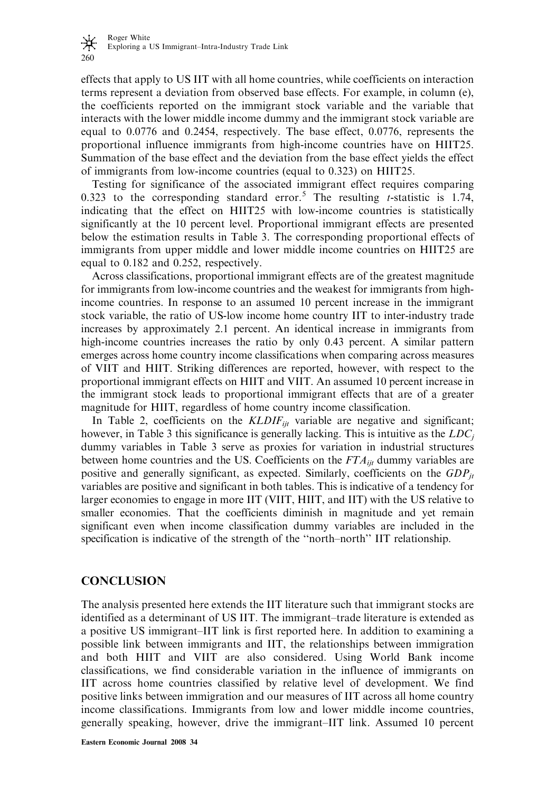effects that apply to US IIT with all home countries, while coefficients on interaction terms represent a deviation from observed base effects. For example, in column (e), the coefficients reported on the immigrant stock variable and the variable that interacts with the lower middle income dummy and the immigrant stock variable are equal to 0.0776 and 0.2454, respectively. The base effect, 0.0776, represents the proportional influence immigrants from high-income countries have on HIIT25. Summation of the base effect and the deviation from the base effect yields the effect of immigrants from low-income countries (equal to 0.323) on HIIT25.

Testing for significance of the associated immigrant effect requires comparing 0.323 to the corresponding standard error.<sup>5</sup> The resulting *t*-statistic is 1.74, indicating that the effect on HIIT25 with low-income countries is statistically significantly at the 10 percent level. Proportional immigrant effects are presented below the estimation results in Table 3. The corresponding proportional effects of immigrants from upper middle and lower middle income countries on HIIT25 are equal to 0.182 and 0.252, respectively.

Across classifications, proportional immigrant effects are of the greatest magnitude for immigrants from low-income countries and the weakest for immigrants from highincome countries. In response to an assumed 10 percent increase in the immigrant stock variable, the ratio of US-low income home country IIT to inter-industry trade increases by approximately 2.1 percent. An identical increase in immigrants from high-income countries increases the ratio by only 0.43 percent. A similar pattern emerges across home country income classifications when comparing across measures of VIIT and HIIT. Striking differences are reported, however, with respect to the proportional immigrant effects on HIIT and VIIT. An assumed 10 percent increase in the immigrant stock leads to proportional immigrant effects that are of a greater magnitude for HIIT, regardless of home country income classification.

In Table 2, coefficients on the  $KLDIF_{ijt}$  variable are negative and significant; however, in Table 3 this significance is generally lacking. This is intuitive as the  $LDC_i$ dummy variables in Table 3 serve as proxies for variation in industrial structures between home countries and the US. Coefficients on the  $FTA_{ii}$  dummy variables are positive and generally significant, as expected. Similarly, coefficients on the  $GDP_{it}$ variables are positive and significant in both tables. This is indicative of a tendency for larger economies to engage in more IIT (VIIT, HIIT, and IIT) with the US relative to smaller economies. That the coefficients diminish in magnitude and yet remain significant even when income classification dummy variables are included in the specification is indicative of the strength of the ''north–north'' IIT relationship.

# CONCLUSION

The analysis presented here extends the IIT literature such that immigrant stocks are identified as a determinant of US IIT. The immigrant–trade literature is extended as a positive US immigrant–IIT link is first reported here. In addition to examining a possible link between immigrants and IIT, the relationships between immigration and both HIIT and VIIT are also considered. Using World Bank income classifications, we find considerable variation in the influence of immigrants on IIT across home countries classified by relative level of development. We find positive links between immigration and our measures of IIT across all home country income classifications. Immigrants from low and lower middle income countries, generally speaking, however, drive the immigrant–IIT link. Assumed 10 percent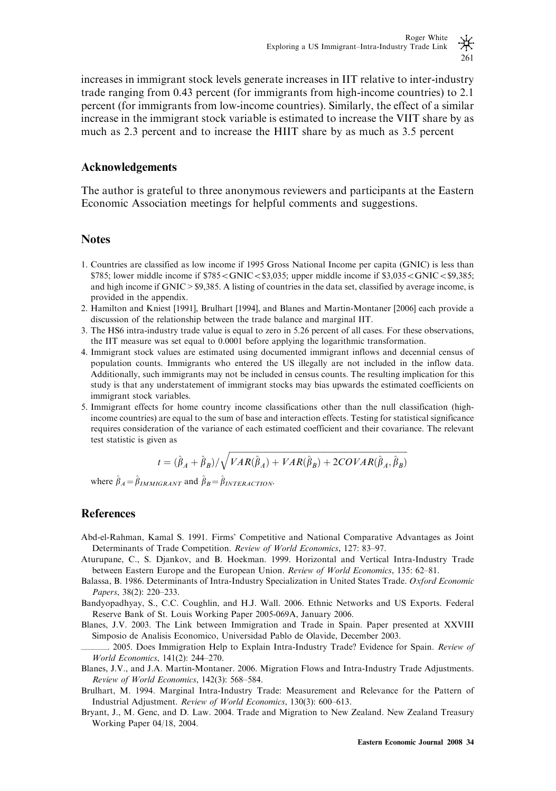increases in immigrant stock levels generate increases in IIT relative to inter-industry trade ranging from 0.43 percent (for immigrants from high-income countries) to 2.1 percent (for immigrants from low-income countries). Similarly, the effect of a similar increase in the immigrant stock variable is estimated to increase the VIIT share by as much as 2.3 percent and to increase the HIIT share by as much as 3.5 percent

### Acknowledgements

The author is grateful to three anonymous reviewers and participants at the Eastern Economic Association meetings for helpful comments and suggestions.

## **Notes**

- 1. Countries are classified as low income if 1995 Gross National Income per capita (GNIC) is less than  $$785$ ; lower middle income if  $$785<$ GNIC $<$ \$3,035; upper middle income if \$3,035 $<$ GNIC $<$ \$9,385; and high income if GNIC > \$9,385. A listing of countries in the data set, classified by average income, is provided in the appendix.
- 2. Hamilton and Kniest [1991], Brulhart [1994], and Blanes and Martin-Montaner [2006] each provide a discussion of the relationship between the trade balance and marginal IIT.
- 3. The HS6 intra-industry trade value is equal to zero in 5.26 percent of all cases. For these observations, the IIT measure was set equal to 0.0001 before applying the logarithmic transformation.
- 4. Immigrant stock values are estimated using documented immigrant inflows and decennial census of population counts. Immigrants who entered the US illegally are not included in the inflow data. Additionally, such immigrants may not be included in census counts. The resulting implication for this study is that any understatement of immigrant stocks may bias upwards the estimated coefficients on immigrant stock variables.
- 5. Immigrant effects for home country income classifications other than the null classification (highincome countries) are equal to the sum of base and interaction effects. Testing for statistical significance requires consideration of the variance of each estimated coefficient and their covariance. The relevant test statistic is given as

$$
t = (\hat{\beta}_A + \hat{\beta}_B)/\sqrt{VAR(\hat{\beta}_A) + VAR(\hat{\beta}_B) + 2COVAR(\hat{\beta}_A, \hat{\beta}_B)}
$$

where  $\hat{\beta}_A = \hat{\beta}_{IMMIGRANT}$  and  $\hat{\beta}_B = \hat{\beta}_{INTERACTION}$ .

## **References**

- Abd-el-Rahman, Kamal S. 1991. Firms' Competitive and National Comparative Advantages as Joint Determinants of Trade Competition. Review of World Economics, 127: 83–97.
- Aturupane, C., S. Djankov, and B. Hoekman. 1999. Horizontal and Vertical Intra-Industry Trade between Eastern Europe and the European Union. Review of World Economics, 135: 62–81.
- Balassa, B. 1986. Determinants of Intra-Industry Specialization in United States Trade. Oxford Economic Papers, 38(2): 220–233.
- Bandyopadhyay, S., C.C. Coughlin, and H.J. Wall. 2006. Ethnic Networks and US Exports. Federal Reserve Bank of St. Louis Working Paper 2005-069A, January 2006.
- Blanes, J.V. 2003. The Link between Immigration and Trade in Spain. Paper presented at XXVIII Simposio de Analisis Economico, Universidad Pablo de Olavide, December 2003.

2005. Does Immigration Help to Explain Intra-Industry Trade? Evidence for Spain. Review of World Economics, 141(2): 244–270.

- Blanes, J.V., and J.A. Martin-Montaner. 2006. Migration Flows and Intra-Industry Trade Adjustments. Review of World Economics, 142(3): 568–584.
- Brulhart, M. 1994. Marginal Intra-Industry Trade: Measurement and Relevance for the Pattern of Industrial Adjustment. Review of World Economics, 130(3): 600–613.
- Bryant, J., M. Genc, and D. Law. 2004. Trade and Migration to New Zealand. New Zealand Treasury Working Paper 04/18, 2004.